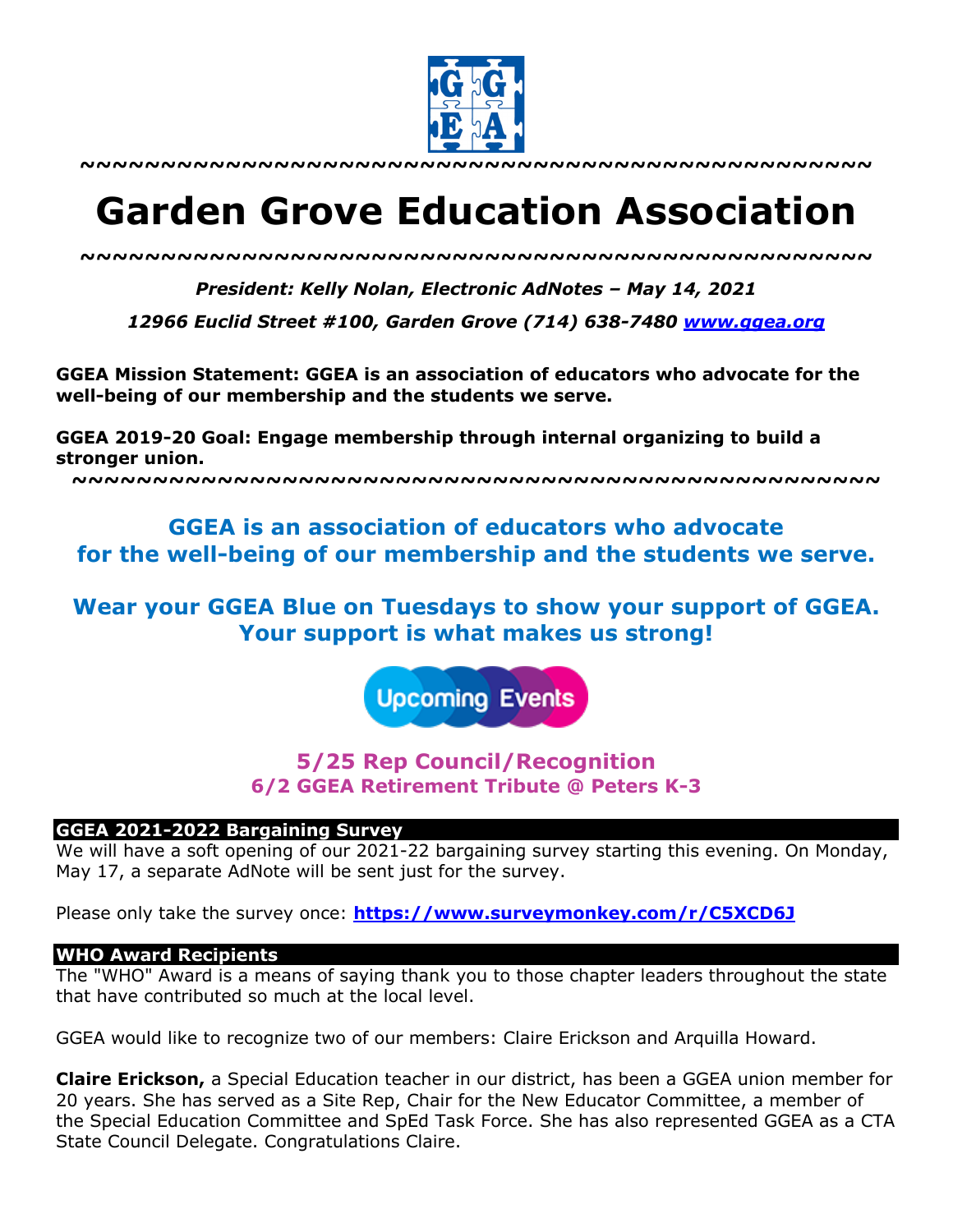

**~~~~~~~~~~~~~~~~~~~~~~~~~~~~~~~~~~~~~~~~~~~~~~~~~**

# **Garden Grove Education Association**

*~~~~~~~~~~~~~~~~~~~~~~~~~~~~~~~~~~~~~~~~~~~~~~~~~*

*President: Kelly Nolan, Electronic AdNotes – May 14, 2021*

*12966 Euclid Street #100, Garden Grove (714) 638-7480 www.ggea.org*

**GGEA Mission Statement: GGEA is an association of educators who advocate for the well-being of our membership and the students we serve.** 

**GGEA 2019-20 Goal: Engage membership through internal organizing to build a stronger union.**

**~~~~~~~~~~~~~~~~~~~~~~~~~~~~~~~~~~~~~~~~~~~~~~~~~~**

# **GGEA is an association of educators who advocate for the well-being of our membership and the students we serve.**

**Wear your GGEA Blue on Tuesdays to show your support of GGEA. Your support is what makes us strong!**

**Upcoming Events** 

# **5/25 Rep Council/Recognition 6/2 GGEA Retirement Tribute @ Peters K-3**

#### **GGEA 2021-2022 Bargaining Survey**

We will have a soft opening of our 2021-22 bargaining survey starting this evening. On Monday, May 17, a separate AdNote will be sent just for the survey.

Please only take the survey once: **https://www.surveymonkey.com/r/C5XCD6J**

### **WHO Award Recipients**

The "WHO" Award is a means of saying thank you to those chapter leaders throughout the state that have contributed so much at the local level.

GGEA would like to recognize two of our members: Claire Erickson and Arquilla Howard.

**Claire Erickson,** a Special Education teacher in our district, has been a GGEA union member for 20 years. She has served as a Site Rep, Chair for the New Educator Committee, a member of the Special Education Committee and SpEd Task Force. She has also represented GGEA as a CTA State Council Delegate. Congratulations Claire.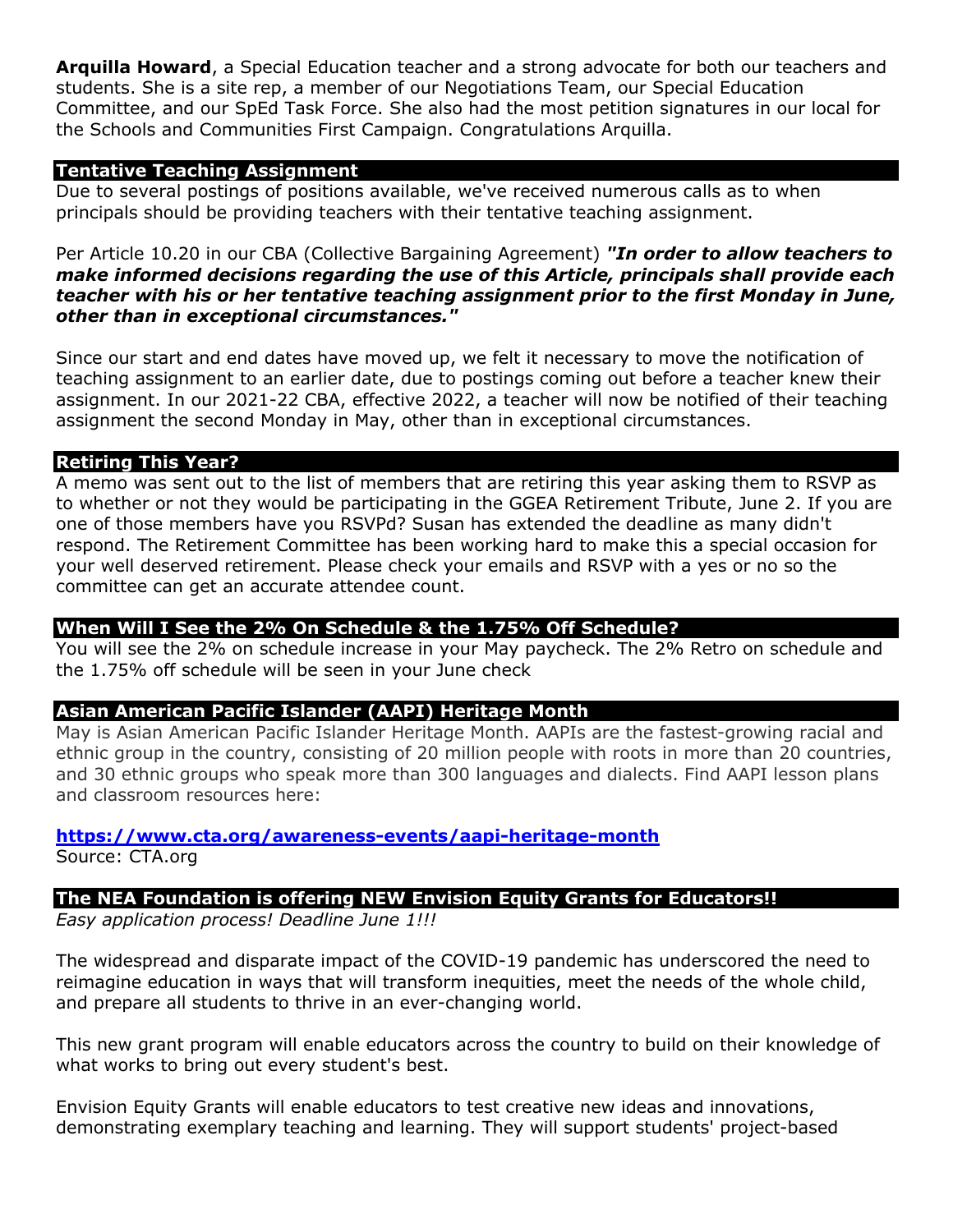**Arquilla Howard**, a Special Education teacher and a strong advocate for both our teachers and students. She is a site rep, a member of our Negotiations Team, our Special Education Committee, and our SpEd Task Force. She also had the most petition signatures in our local for the Schools and Communities First Campaign. Congratulations Arquilla.

# **Tentative Teaching Assignment**

Due to several postings of positions available, we've received numerous calls as to when principals should be providing teachers with their tentative teaching assignment.

Per Article 10.20 in our CBA (Collective Bargaining Agreement) *"In order to allow teachers to make informed decisions regarding the use of this Article, principals shall provide each teacher with his or her tentative teaching assignment prior to the first Monday in June, other than in exceptional circumstances."*

Since our start and end dates have moved up, we felt it necessary to move the notification of teaching assignment to an earlier date, due to postings coming out before a teacher knew their assignment. In our 2021-22 CBA, effective 2022, a teacher will now be notified of their teaching assignment the second Monday in May, other than in exceptional circumstances.

# **Retiring This Year?**

A memo was sent out to the list of members that are retiring this year asking them to RSVP as to whether or not they would be participating in the GGEA Retirement Tribute, June 2. If you are one of those members have you RSVPd? Susan has extended the deadline as many didn't respond. The Retirement Committee has been working hard to make this a special occasion for your well deserved retirement. Please check your emails and RSVP with a yes or no so the committee can get an accurate attendee count.

### **When Will I See the 2% On Schedule & the 1.75% Off Schedule?**

You will see the 2% on schedule increase in your May paycheck. The 2% Retro on schedule and the 1.75% off schedule will be seen in your June check

# **Asian American Pacific Islander (AAPI) Heritage Month**

May is Asian American Pacific Islander Heritage Month. AAPIs are the fastest-growing racial and ethnic group in the country, consisting of 20 million people with roots in more than 20 countries, and 30 ethnic groups who speak more than 300 languages and dialects. Find AAPI lesson plans and classroom resources here:

### **https://www.cta.org/awareness-events/aapi-heritage-month**

Source: CTA.org

# **The NEA Foundation is offering NEW Envision Equity Grants for Educators!!**

*Easy application process! Deadline June 1!!!*

The widespread and disparate impact of the COVID-19 pandemic has underscored the need to reimagine education in ways that will transform inequities, meet the needs of the whole child, and prepare all students to thrive in an ever-changing world.

This new grant program will enable educators across the country to build on their knowledge of what works to bring out every student's best.

Envision Equity Grants will enable educators to test creative new ideas and innovations, demonstrating exemplary teaching and learning. They will support students' project-based